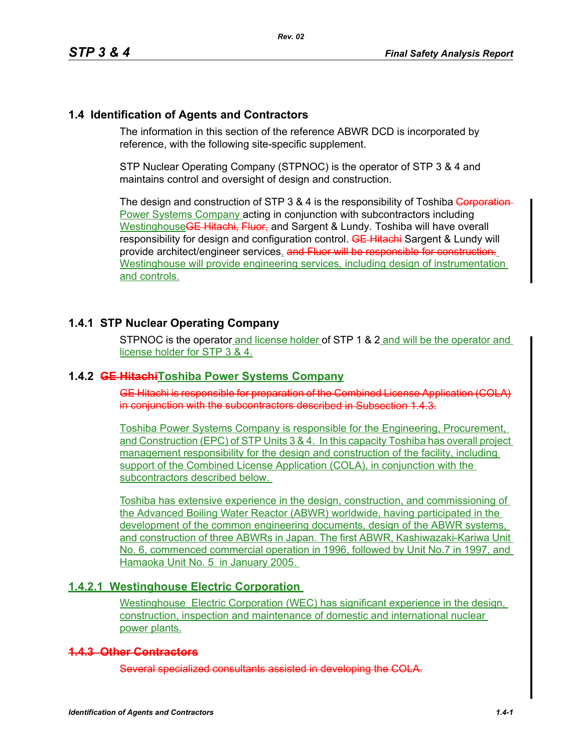### **1.4 Identification of Agents and Contractors**

The information in this section of the reference ABWR DCD is incorporated by reference, with the following site-specific supplement.

STP Nuclear Operating Company (STPNOC) is the operator of STP 3 & 4 and maintains control and oversight of design and construction.

The design and construction of STP 3 & 4 is the responsibility of Toshiba Corporation-**Power Systems Company acting in conjunction with subcontractors including** Westinghouse<del>GE Hitachi, Fluor,</del> and Sargent & Lundy. Toshiba will have overall responsibility for design and configuration control. **GE Hitachi** Sargent & Lundy will provide architect/engineer services. and Fluor will be responsible for constru Westinghouse will provide engineering services, including design of instrumentation and controls.

## **1.4.1 STP Nuclear Operating Company**

STPNOC is the operator and license holder of STP 1 & 2 and will be the operator and license holder for STP 3 & 4.

### **1.4.2 GE HitachiToshiba Power Systems Company**

GE Hitachi is responsible for preparation of the Combined License Application (COLA) in conjunction with the subcontractors described in Subsection 1.4.3.

Toshiba Power Systems Company is responsible for the Engineering, Procurement, and Construction (EPC) of STP Units 3 & 4. In this capacity Toshiba has overall project management responsibility for the design and construction of the facility, including support of the Combined License Application (COLA), in conjunction with the subcontractors described below.

Toshiba has extensive experience in the design, construction, and commissioning of the Advanced Boiling Water Reactor (ABWR) worldwide, having participated in the development of the common engineering documents, design of the ABWR systems, and construction of three ABWRs in Japan. The first ABWR, Kashiwazaki-Kariwa Unit No. 6, commenced commercial operation in 1996, followed by Unit No.7 in 1997, and Hamaoka Unit No. 5 in January 2005.

### **1.4.2.1 Westinghouse Electric Corporation**

Westinghouse Electric Corporation (WEC) has significant experience in the design, construction, inspection and maintenance of domestic and international nuclear power plants.

### **1.4.3 Other Contractors**

Several specialized consultants assisted in developing the COLA.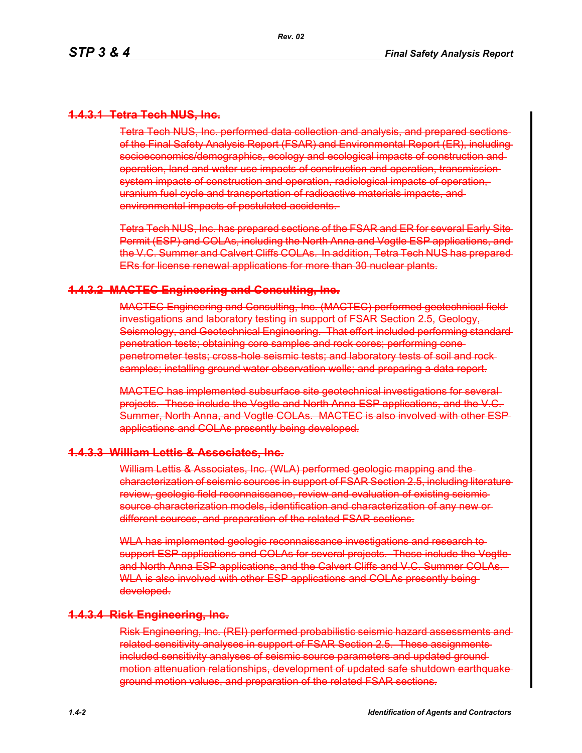## **1.4.3.1 Tetra Tech NUS, Inc.**

Tetra Tech NUS, Inc. performed data collection and analysis, and prepared sections of the Final Safety Analysis Report (FSAR) and Environmental Report (ER), including socioeconomics/demographics, ecology and ecological impacts of construction and operation, land and water use impacts of construction and operation, transmission system impacts of construction and operation, radiological impacts of operation, uranium fuel cycle and transportation of radioactive materials impacts, and environmental impacts of postulated accidents.

Tetra Tech NUS, Inc. has prepared sections of the FSAR and ER for several Early Site Permit (ESP) and COLAs, including the North Anna and Vogtle ESP applications, and the V.C. Summer and Calvert Cliffs COLAs. In addition, Tetra Tech NUS has prepared ERs for license renewal applications for more than 30 nuclear plants.

#### **1.4.3.2 MACTEC Engineering and Consulting, Inc.**

MACTEC Engineering and Consulting, Inc. (MACTEC) performed geotechnical field investigations and laboratory testing in support of FSAR Section 2.5, Geology, Seismology, and Geotechnical Engineering. That effort included performing standard penetration tests; obtaining core samples and rock cores; performing cone penetrometer tests; cross-hole seismic tests; and laboratory tests of soil and rock samples; installing ground water observation wells; and preparing a data report.

MACTEC has implemented subsurface site geotechnical investigations for several projects. These include the Vogtle and North Anna ESP applications, and the V.C. Summer, North Anna, and Vogtle COLAs. MACTEC is also involved with other ESP applications and COLAs presently being developed.

#### **1.4.3.3 William Lettis & Associates, Inc.**

William Lettis & Associates, Inc. (WLA) performed geologic mapping and the characterization of seismic sources in support of FSAR Section 2.5, including literature review, geologic field reconnaissance, review and evaluation of existing seismic source characterization models, identification and characterization of any new or different sources, and preparation of the related FSAR sections.

WLA has implemented geologic reconnaissance investigations and research tosupport ESP applications and COLAs for several projects. These include the Vogtle and North Anna ESP applications, and the Calvert Cliffs and V.C. Summer COLAs. WLA is also involved with other ESP applications and COLAs presently beingdeveloped.

#### **1.4.3.4 Risk Engineering, Inc.**

Risk Engineering, Inc. (REI) performed probabilistic seismic hazard assessments and related sensitivity analyses in support of FSAR Section 2.5. These assignments included sensitivity analyses of seismic source parameters and updated ground motion attenuation relationships, development of updated safe shutdown earthquake ground motion values, and preparation of the related FSAR sections.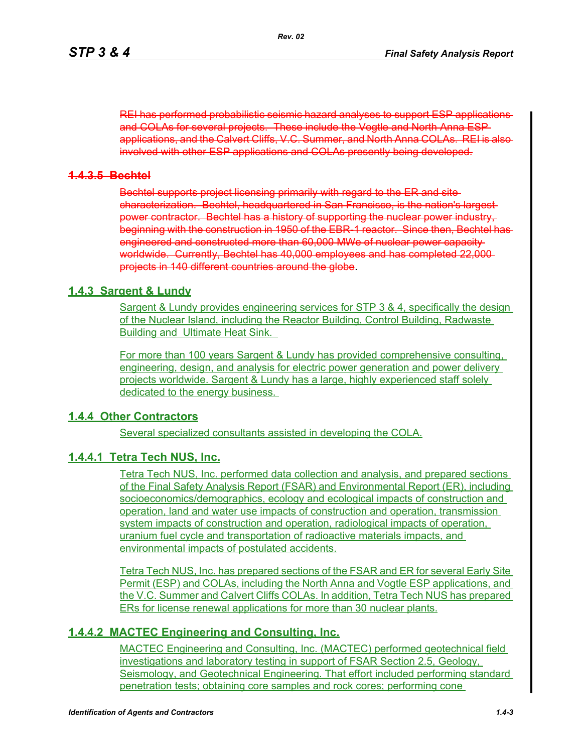REI has performed probabilistic seismic hazard analyses to support ESP applications and COLAs for several projects. These include the Vogtle and North Anna ESP applications, and the Calvert Cliffs, V.C. Summer, and North Anna COLAs. REI is also involved with other ESP applications and COLAs presently being developed.

### **1.4.3.5 Bechtel**

Bechtel supports project licensing primarily with regard to the ER and site characterization. Bechtel, headquartered in San Francisco, is the nation's largest power contractor. Bechtel has a history of supporting the nuclear power industry, beginning with the construction in 1950 of the EBR-1 reactor. Since then, Bechtel has engineered and constructed more than 60,000 MWe of nuclear power capacity worldwide. Currently, Bechtel has 40,000 employees and has completed 22,000 projects in 140 different countries around the globe.

## **1.4.3 Sargent & Lundy**

Sargent & Lundy provides engineering services for STP 3 & 4, specifically the design of the Nuclear Island, including the Reactor Building, Control Building, Radwaste Building and Ultimate Heat Sink.

For more than 100 years Sargent & Lundy has provided comprehensive consulting, engineering, design, and analysis for electric power generation and power delivery projects worldwide. Sargent & Lundy has a large, highly experienced staff solely dedicated to the energy business.

## **1.4.4 Other Contractors**

Several specialized consultants assisted in developing the COLA.

# **1.4.4.1 Tetra Tech NUS, Inc.**

Tetra Tech NUS, Inc. performed data collection and analysis, and prepared sections of the Final Safety Analysis Report (FSAR) and Environmental Report (ER), including socioeconomics/demographics, ecology and ecological impacts of construction and operation, land and water use impacts of construction and operation, transmission system impacts of construction and operation, radiological impacts of operation, uranium fuel cycle and transportation of radioactive materials impacts, and environmental impacts of postulated accidents.

Tetra Tech NUS, Inc. has prepared sections of the FSAR and ER for several Early Site Permit (ESP) and COLAs, including the North Anna and Vogtle ESP applications, and the V.C. Summer and Calvert Cliffs COLAs. In addition, Tetra Tech NUS has prepared ERs for license renewal applications for more than 30 nuclear plants.

# **1.4.4.2 MACTEC Engineering and Consulting, Inc.**

MACTEC Engineering and Consulting, Inc. (MACTEC) performed geotechnical field investigations and laboratory testing in support of FSAR Section 2.5, Geology, Seismology, and Geotechnical Engineering. That effort included performing standard penetration tests; obtaining core samples and rock cores; performing cone